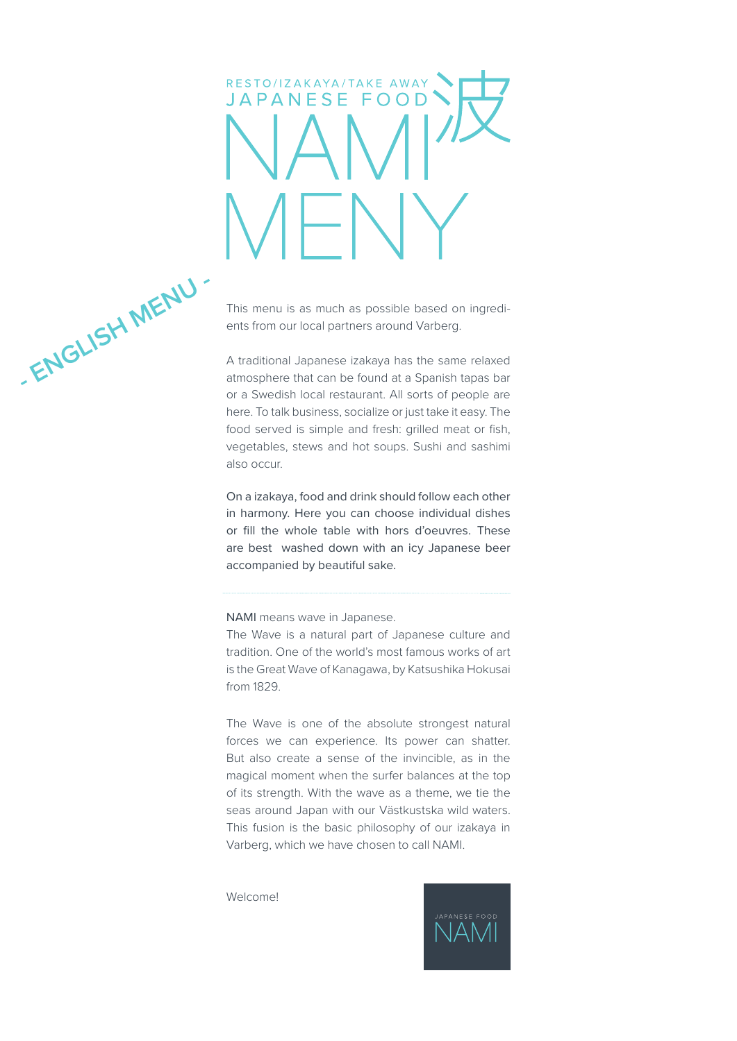# RESTO/IZAKAYA/TAKE AWAY JAPANESE FOOD

**ENGLISH MENU -**

This menu is as much as possible based on ingredients from our local partners around Varberg.

A traditional Japanese izakaya has the same relaxed atmosphere that can be found at a Spanish tapas bar or a Swedish local restaurant. All sorts of people are here. To talk business, socialize or just take it easy. The food served is simple and fresh: grilled meat or fish, vegetables, stews and hot soups. Sushi and sashimi also occur.

On a izakaya, food and drink should follow each other in harmony. Here you can choose individual dishes or fill the whole table with hors d'oeuvres. These are best washed down with an icy Japanese beer accompanied by beautiful sake.

NAMI means wave in Japanese.

The Wave is a natural part of Japanese culture and tradition. One of the world's most famous works of art is the Great Wave of Kanagawa, by Katsushika Hokusai from 1829.

The Wave is one of the absolute strongest natural forces we can experience. Its power can shatter. But also create a sense of the invincible, as in the magical moment when the surfer balances at the top of its strength. With the wave as a theme, we tie the seas around Japan with our Västkustska wild waters. This fusion is the basic philosophy of our izakaya in Varberg, which we have chosen to call NAMI.

Welcome!

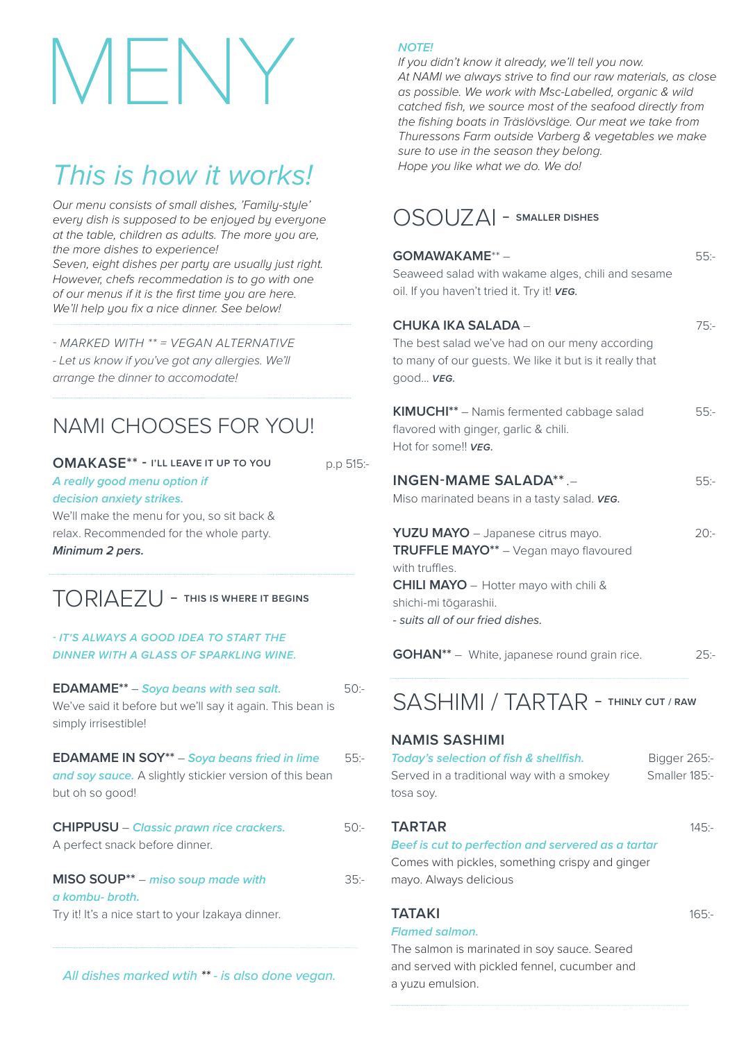## MENY

## *This is how it works!*

*Our menu consists of small dishes, 'Family-style' every dish is supposed to be enjoyed by everyone at the table, children as adults. The more you are, the more dishes to experience!* 

*Seven, eight dishes per party are usually just right. However, chefs recommedation is to go with one of our menus if it is the first time you are here. We'll help you fix a nice dinner. See below!*

*- MARKED WITH \*\* = VEGAN ALTERNATIVE*

*- Let us know if you've got any allergies. We'll arrange the dinner to accomodate!*

## NAMI CHOOSES FOR YOU!

#### **OMAKASE\*\* - I'LL LEAVE IT UP TO YOU**

p.p 515:-

 $35 -$ 

*A really good menu option if decision anxiety strikes.*  We'll make the menu for you, so sit back & relax. Recommended for the whole party.

*Minimum 2 pers.*

## TORIAEZU - **THIS IS WHERE IT BEGINS**

#### *- IT'S ALWAYS A GOOD IDEA TO START THE DINNER WITH A GLASS OF SPARKLING WINE.*

**EDAMAME\*\*** – *Soya beans with sea salt.*  We've said it before but we'll say it again. This bean is simply irrisestible! 50:-

**EDAMAME IN SOY\*\*** – *Soya beans fried in lime*  and soy sauce. A slightly stickier version of this bean but oh so good! 55:-

**CHIPPUSU** – *Classic prawn rice crackers.*  A perfect snack before dinner.  $50 -$ 

**MISO SOUP\*\*** – *miso soup made with a kombu- broth.*  Try it! It's a nice start to your Izakaya dinner.

#### *All dishes marked wtih \*\* - is also done vegan.*

#### *NOTE!*

*If you didn't know it already, we'll tell you now. At NAMI we always strive to find our raw materials, as close as possible. We work with Msc-Labelled, organic & wild catched fish, we source most of the seafood directly from the fishing boats in Träslövsläge. Our meat we take from Thuressons Farm outside Varberg & vegetables we make sure to use in the season they belong. Hope you like what we do. We do!* 

### OSOUZAI - **SMALLER DISHES**

| GOMAWAKAME**-<br>Seaweed salad with wakame alges, chili and sesame<br>oil. If you haven't tried it. Try it! vEG.                                                                                          | $55: -$                       |
|-----------------------------------------------------------------------------------------------------------------------------------------------------------------------------------------------------------|-------------------------------|
| <b>CHUKA IKA SALADA -</b><br>The best salad we've had on our meny according<br>to many of our guests. We like it but is it really that<br>good VEG.                                                       | $75: -$                       |
| KIMUCHI** - Namis fermented cabbage salad<br>flavored with ginger, garlic & chili.<br>Hot for some!! VEG.                                                                                                 | $55: -$                       |
| <b>INGEN-MAME SALADA**.-</b><br>Miso marinated beans in a tasty salad. VEG.                                                                                                                               | $55: -$                       |
| YUZU MAYO - Japanese citrus mayo.<br>TRUFFLE MAYO** - Vegan mayo flavoured<br>with truffles.<br><b>CHILI MAYO</b> - Hotter mayo with chili &<br>shichi-mi tōgarashii.<br>- suits all of our fried dishes. | 20:–                          |
| <b>GOHAN**</b> - White, japanese round grain rice.                                                                                                                                                        | $25: -$                       |
| SASHIMI / TARTAR - THINLY CUT / RAW                                                                                                                                                                       |                               |
| <b>NAMIS SASHIMI</b><br>Today's selection of fish & shellfish.<br>Served in a traditional way with a smokey<br>tosa soy.                                                                                  | Bigger 265:-<br>Smaller 185:- |
| <b>TARTAR</b><br>Beef is cut to perfection and servered as a tartar<br>Comes with pickles, something crispy and ginger<br>mayo. Always delicious                                                          | $145: -$                      |
| <b>TATAKI</b><br><b>Flamed salmon.</b>                                                                                                                                                                    | $165: -$                      |

The salmon is marinated in soy sauce. Seared and served with pickled fennel, cucumber and a yuzu emulsion.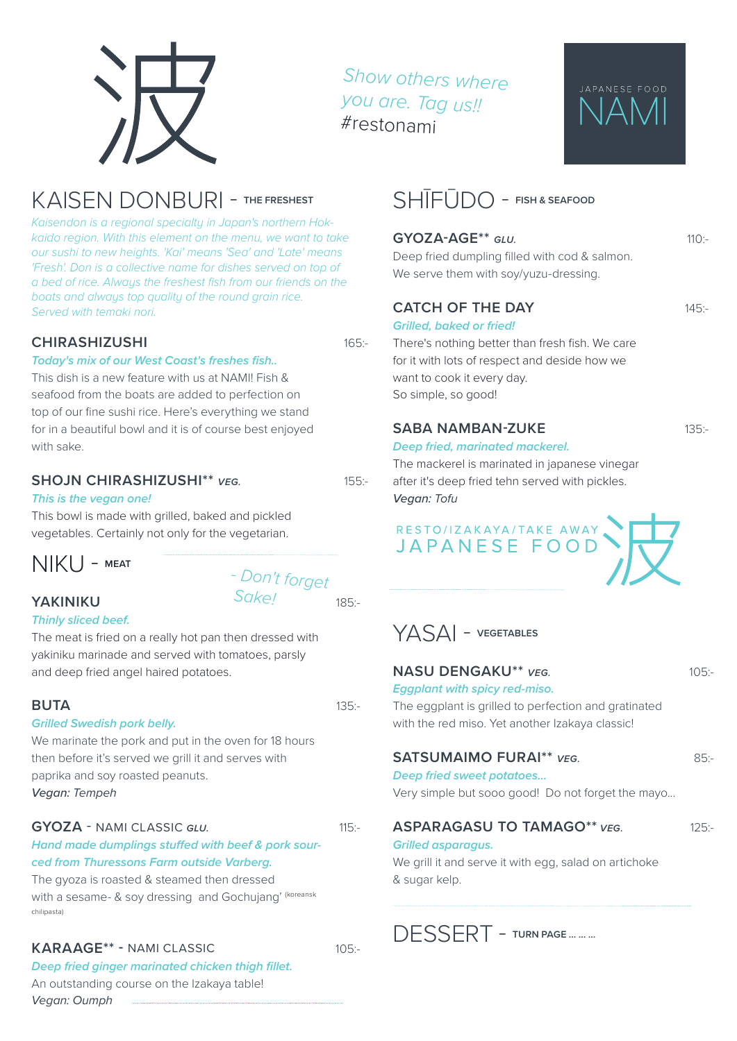*Show others where you are. Tag us!!* #restonami

## KAISEN DONBURI - **THE FRESHEST**

*Kaisendon is a regional specialty in Japan's northern Hokkaido region. With this element on the menu, we want to take our sushi to new heights. 'Kai' means 'Sea' and 'Late' means 'Fresh'. Don is a collective name for dishes served on top of a bed of rice. Always the freshest fish from our friends on the boats and always top quality of the round grain rice. Served with temaki nori.*

#### **CHIRASHIZUSHI**

#### *Today's mix of our West Coast's freshes fish..*

This dish is a new feature with us at NAMI! Fish & seafood from the boats are added to perfection on top of our fine sushi rice. Here's everything we stand for in a beautiful bowl and it is of course best enjoyed with sake.

#### **SHOJN CHIRASHIZUSHI\*\*** *VEG.*

#### *This is the vegan one!*

This bowl is made with grilled, baked and pickled vegetables. Certainly not only for the vegetarian.

## NIKU - **MEAT**

#### **YAKINIKU**

#### *Thinly sliced beef.*

The meat is fried on a really hot pan then dressed with yakiniku marinade and served with tomatoes, parsly and deep fried angel haired potatoes.

*- Don't forget* 

 *Sake!*

#### **BUTA**

#### *Grilled Swedish pork belly.*

We marinate the pork and put in the oven for 18 hours then before it's served we grill it and serves with paprika and soy roasted peanuts. *Vegan: Tempeh*

#### **GYOZA** - NAMI CLASSIC *GLU.*

#### *Hand made dumplings stuffed with beef & pork sourced from Thuressons Farm outside Varberg.*

The gyoza is roasted & steamed then dressed with a sesame- & soy dressing and Gochujang' (koreansk chilipasta)

#### **KARAAGE\*\* -** NAMI CLASSIC

 $105 -$ 

*Deep fried ginger marinated chicken thigh fillet.* An outstanding course on the Izakaya table! *Vegan: Oumph*

## SHĪFŪDO - **FISH & SEAFOOD**

#### **GYOZA-AGE\*\*** *GLU.*

Deep fried dumpling filled with cod & salmon. We serve them with soy/yuzu-dressing.

#### **CATCH OF THE DAY**

165:-

155:-

185:-

135:-

 $115 -$ 

#### *Grilled, baked or fried!*

There's nothing better than fresh fish. We care for it with lots of respect and deside how we want to cook it every day. So simple, so good!

#### **SABA NAMBAN-ZUKE**

#### *Deep fried, marinated mackerel.*

The mackerel is marinated in japanese vinegar after it's deep fried tehn served with pickles. *Vegan: Tofu*

RESTO/IZAKAYA/TAKE AWAY<br>JAPANESE FOOD

## YASAI - **VEGETABLES**

#### **NASU DENGAKU\*\*** *VEG.*

#### *Eggplant with spicy red-miso.*

The eggplant is grilled to perfection and gratinated with the red miso. Yet another Izakaya classic!

#### **SATSUMAIMO FURAI\*\*** *VEG.*

### 85:-

 $125 -$ 

105:-

*Deep fried sweet potatoes...* Very simple but sooo good! Do not forget the mayo...

#### **ASPARAGASU TO TAMAGO\*\*** *VEG.*

#### *Grilled asparagus.*

We grill it and serve it with egg, salad on artichoke & sugar kelp.

DESSERT - **TURN PAGE ... ... ...** 

 $110 -$ 

JAPANESE FOOD

145:-

135:-